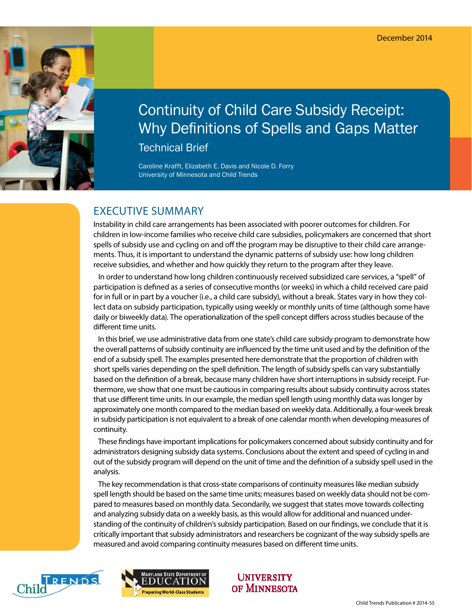

# Continuity of Child Care Subsidy Receipt: Why Definitions of Spells and Gaps Matter

Technical Brief

Caroline Krafft, Elizabeth E. Davis and Nicole D. Forry University of Minnesota and Child Trends

# EXECUTIVE SUMMARY

Instability in child care arrangements has been associated with poorer outcomes for children. For children in low-income families who receive child care subsidies, policymakers are concerned that short spells of subsidy use and cycling on and off the program may be disruptive to their child care arrangements. Thus, it is important to understand the dynamic patterns of subsidy use: how long children receive subsidies, and whether and how quickly they return to the program after they leave.

 In order to understand how long children continuously received subsidized care services, a "spell" of participation is defined as a series of consecutive months (or weeks) in which a child received care paid for in full or in part by a voucher (i.e., a child care subsidy), without a break. States vary in how they collect data on subsidy participation, typically using weekly or monthly units of time (although some have daily or biweekly data). The operationalization of the spell concept differs across studies because of the different time units.

 In this brief, we use administrative data from one state's child care subsidy program to demonstrate how the overall patterns of subsidy continuity are influenced by the time unit used and by the definition of the end of a subsidy spell. The examples presented here demonstrate that the proportion of children with short spells varies depending on the spell definition. The length of subsidy spells can vary substantially based on the definition of a break, because many children have short interruptions in subsidy receipt. Furthermore, we show that one must be cautious in comparing results about subsidy continuity across states that use different time units. In our example, the median spell length using monthly data was longer by approximately one month compared to the median based on weekly data. Additionally, a four-week break in subsidy participation is not equivalent to a break of one calendar month when developing measures of continuity.

 These findings have important implications for policymakers concerned about subsidy continuity and for administrators designing subsidy data systems. Conclusions about the extent and speed of cycling in and out of the subsidy program will depend on the unit of time and the definition of a subsidy spell used in the analysis.

 The key recommendation is that cross-state comparisons of continuity measures like median subsidy spell length should be based on the same time units; measures based on weekly data should not be compared to measures based on monthly data. Secondarily, we suggest that states move towards collecting and analyzing subsidy data on a weekly basis, as this would allow for additional and nuanced understanding of the continuity of children's subsidy participation. Based on our findings, we conclude that it is critically important that subsidy administrators and researchers be cognizant of the way subsidy spells are measured and avoid comparing continuity measures based on different time units.





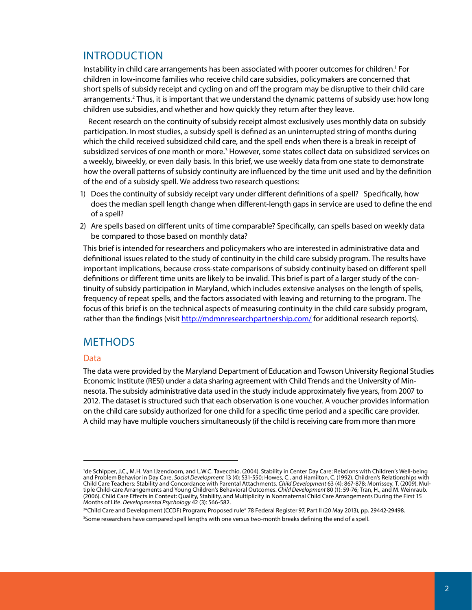# INTRODUCTION

Instability in child care arrangements has been associated with poorer outcomes for children.1 For children in low-income families who receive child care subsidies, policymakers are concerned that short spells of subsidy receipt and cycling on and off the program may be disruptive to their child care arrangements.<sup>2</sup> Thus, it is important that we understand the dynamic patterns of subsidy use: how long children use subsidies, and whether and how quickly they return after they leave.

 Recent research on the continuity of subsidy receipt almost exclusively uses monthly data on subsidy participation. In most studies, a subsidy spell is defined as an uninterrupted string of months during which the child received subsidized child care, and the spell ends when there is a break in receipt of subsidized services of one month or more.<sup>3</sup> However, some states collect data on subsidized services on a weekly, biweekly, or even daily basis. In this brief, we use weekly data from one state to demonstrate how the overall patterns of subsidy continuity are influenced by the time unit used and by the definition of the end of a subsidy spell. We address two research questions:

- 1) Does the continuity of subsidy receipt vary under different definitions of a spell? Specifically, how does the median spell length change when different-length gaps in service are used to define the end of a spell?
- 2) Are spells based on different units of time comparable? Specifically, can spells based on weekly data be compared to those based on monthly data?

This brief is intended for researchers and policymakers who are interested in administrative data and definitional issues related to the study of continuity in the child care subsidy program. The results have important implications, because cross-state comparisons of subsidy continuity based on different spell definitions or different time units are likely to be invalid. This brief is part of a larger study of the continuity of subsidy participation in Maryland, which includes extensive analyses on the length of spells, frequency of repeat spells, and the factors associated with leaving and returning to the program. The focus of this brief is on the technical aspects of measuring continuity in the child care subsidy program, rather than the findings (visit <http://mdmnresearchpartnership.com/> for additional research reports).

### **METHODS**

#### Data

The data were provided by the Maryland Department of Education and Towson University Regional Studies Economic Institute (RESI) under a data sharing agreement with Child Trends and the University of Minnesota. The subsidy administrative data used in the study include approximately five years, from 2007 to 2012. The dataset is structured such that each observation is one voucher. A voucher provides information on the child care subsidy authorized for one child for a specific time period and a specific care provider. A child may have multiple vouchers simultaneously (if the child is receiving care from more than more

<sup>&</sup>lt;sup>1</sup>de Schipper, J.C., M.H. Van IJzendoorn, and L.W.C. Tavecchio. (2004). Stability in Center Day Care: Relations with Children's Well-being and Problem Behavior in Day Care. *Social Development* 13 (4): 531-550; Howes, C., and Hamilton, C. (1992). Children's Relationships with Child Care Teachers: Stability and Concordance with Parental Attachments. *Child Development* 63 (4): 867-878; Morrissey, T. (2009). Multiple Child-care Arrangements and Young Children's Behavioral Outcomes. *Child Development* 80 (1): 59-76; Tran, H., and M. Weinraub. (2006). Child Care Effects in Context: Quality, Stability, and Multiplicity in Nonmaternal Child Care Arrangements During the First 15 Months of Life. *Developmental Psychology* 42 (3): 566-582.

<sup>2</sup> "Child Care and Development (CCDF) Program; Proposed rule" 78 Federal Register 97, Part II (20 May 2013), pp. 29442-29498. 3 Some researchers have compared spell lengths with one versus two-month breaks defining the end of a spell.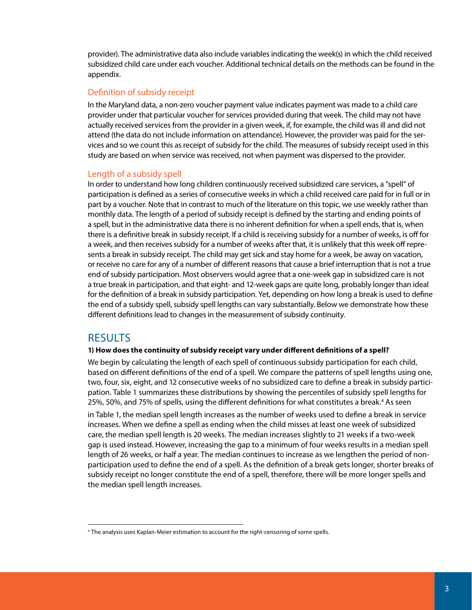provider). The administrative data also include variables indicating the week(s) in which the child received subsidized child care under each voucher. Additional technical details on the methods can be found in the appendix.

#### Definition of subsidy receipt

In the Maryland data, a non-zero voucher payment value indicates payment was made to a child care provider under that particular voucher for services provided during that week. The child may not have actually received services from the provider in a given week, if, for example, the child was ill and did not attend (the data do not include information on attendance). However, the provider was paid for the services and so we count this as receipt of subsidy for the child. The measures of subsidy receipt used in this study are based on when service was received, not when payment was dispersed to the provider.

#### Length of a subsidy spell

In order to understand how long children continuously received subsidized care services, a "spell" of participation is defined as a series of consecutive weeks in which a child received care paid for in full or in part by a voucher. Note that in contrast to much of the literature on this topic, we use weekly rather than monthly data. The length of a period of subsidy receipt is defined by the starting and ending points of a spell, but in the administrative data there is no inherent definition for when a spell ends, that is, when there is a definitive break in subsidy receipt. If a child is receiving subsidy for a number of weeks, is off for a week, and then receives subsidy for a number of weeks after that, it is unlikely that this week off represents a break in subsidy receipt. The child may get sick and stay home for a week, be away on vacation, or receive no care for any of a number of different reasons that cause a brief interruption that is not a true end of subsidy participation. Most observers would agree that a one-week gap in subsidized care is not a true break in participation, and that eight- and 12-week gaps are quite long, probably longer than ideal for the definition of a break in subsidy participation. Yet, depending on how long a break is used to define the end of a subsidy spell, subsidy spell lengths can vary substantially. Below we demonstrate how these different definitions lead to changes in the measurement of subsidy continuity.

### **RESULTS**

#### **1) How does the continuity of subsidy receipt vary under different definitions of a spell?**

We begin by calculating the length of each spell of continuous subsidy participation for each child, based on different definitions of the end of a spell. We compare the patterns of spell lengths using one, two, four, six, eight, and 12 consecutive weeks of no subsidized care to define a break in subsidy participation. Table 1 summarizes these distributions by showing the percentiles of subsidy spell lengths for 25%, 50%, and 75% of spells, using the different definitions for what constitutes a break.<sup>4</sup> As seen

in Table 1, the median spell length increases as the number of weeks used to define a break in service increases. When we define a spell as ending when the child misses at least one week of subsidized care, the median spell length is 20 weeks. The median increases slightly to 21 weeks if a two-week gap is used instead. However, increasing the gap to a minimum of four weeks results in a median spell length of 26 weeks, or half a year. The median continues to increase as we lengthen the period of nonparticipation used to define the end of a spell. As the definition of a break gets longer, shorter breaks of subsidy receipt no longer constitute the end of a spell, therefore, there will be more longer spells and the median spell length increases.

<sup>&</sup>lt;sup>4</sup> The analysis uses Kaplan-Meier estimation to account for the right-censoring of some spells.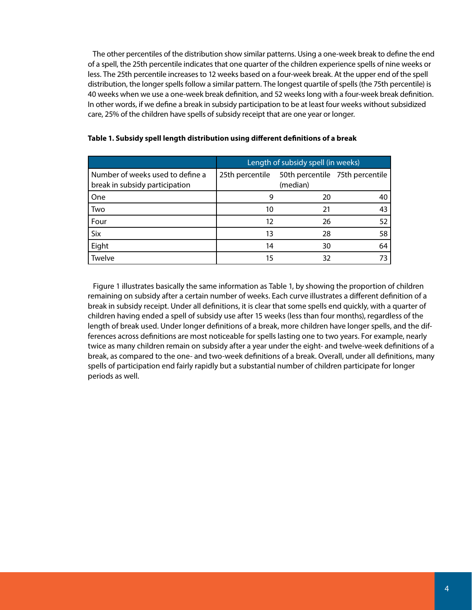The other percentiles of the distribution show similar patterns. Using a one-week break to define the end of a spell, the 25th percentile indicates that one quarter of the children experience spells of nine weeks or less. The 25th percentile increases to 12 weeks based on a four-week break. At the upper end of the spell distribution, the longer spells follow a similar pattern. The longest quartile of spells (the 75th percentile) is 40 weeks when we use a one-week break definition, and 52 weeks long with a four-week break definition. In other words, if we define a break in subsidy participation to be at least four weeks without subsidized care, 25% of the children have spells of subsidy receipt that are one year or longer.

|                                                                    | Length of subsidy spell (in weeks) |          |                                 |  |  |  |  |  |
|--------------------------------------------------------------------|------------------------------------|----------|---------------------------------|--|--|--|--|--|
| Number of weeks used to define a<br>break in subsidy participation | 25th percentile                    | (median) | 50th percentile 75th percentile |  |  |  |  |  |
| One                                                                |                                    | 20       |                                 |  |  |  |  |  |
| Two                                                                | 10                                 | 21       | 43                              |  |  |  |  |  |
| Four                                                               | 12                                 | 26       | 52                              |  |  |  |  |  |
| Six                                                                | 13                                 | 28       | 58                              |  |  |  |  |  |
| Eight                                                              | 14                                 | 30       | 64                              |  |  |  |  |  |
| Twelve                                                             | 15                                 | 32       |                                 |  |  |  |  |  |

#### **Table 1. Subsidy spell length distribution using different definitions of a break**

 Figure 1 illustrates basically the same information as Table 1, by showing the proportion of children remaining on subsidy after a certain number of weeks. Each curve illustrates a different definition of a break in subsidy receipt. Under all definitions, it is clear that some spells end quickly, with a quarter of children having ended a spell of subsidy use after 15 weeks (less than four months), regardless of the length of break used. Under longer definitions of a break, more children have longer spells, and the differences across definitions are most noticeable for spells lasting one to two years. For example, nearly twice as many children remain on subsidy after a year under the eight- and twelve-week definitions of a break, as compared to the one- and two-week definitions of a break. Overall, under all definitions, many spells of participation end fairly rapidly but a substantial number of children participate for longer periods as well.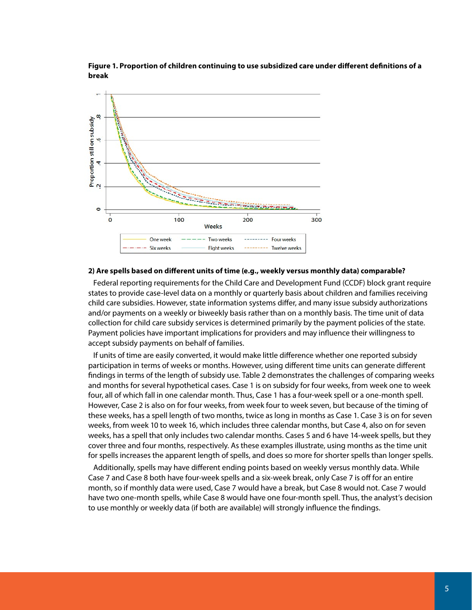

**Figure 1. Proportion of children continuing to use subsidized care under different definitions of a break**

#### **2) Are spells based on different units of time (e.g., weekly versus monthly data) comparable?**

 Federal reporting requirements for the Child Care and Development Fund (CCDF) block grant require states to provide case-level data on a monthly or quarterly basis about children and families receiving child care subsidies. However, state information systems differ, and many issue subsidy authorizations and/or payments on a weekly or biweekly basis rather than on a monthly basis. The time unit of data collection for child care subsidy services is determined primarily by the payment policies of the state. Payment policies have important implications for providers and may influence their willingness to accept subsidy payments on behalf of families.

 If units of time are easily converted, it would make little difference whether one reported subsidy participation in terms of weeks or months. However, using different time units can generate different findings in terms of the length of subsidy use. Table 2 demonstrates the challenges of comparing weeks and months for several hypothetical cases. Case 1 is on subsidy for four weeks, from week one to week four, all of which fall in one calendar month. Thus, Case 1 has a four-week spell or a one-month spell. However, Case 2 is also on for four weeks, from week four to week seven, but because of the timing of these weeks, has a spell length of two months, twice as long in months as Case 1. Case 3 is on for seven weeks, from week 10 to week 16, which includes three calendar months, but Case 4, also on for seven weeks, has a spell that only includes two calendar months. Cases 5 and 6 have 14-week spells, but they cover three and four months, respectively. As these examples illustrate, using months as the time unit for spells increases the apparent length of spells, and does so more for shorter spells than longer spells.

 Additionally, spells may have different ending points based on weekly versus monthly data. While Case 7 and Case 8 both have four-week spells and a six-week break, only Case 7 is off for an entire month, so if monthly data were used, Case 7 would have a break, but Case 8 would not. Case 7 would have two one-month spells, while Case 8 would have one four-month spell. Thus, the analyst's decision to use monthly or weekly data (if both are available) will strongly influence the findings.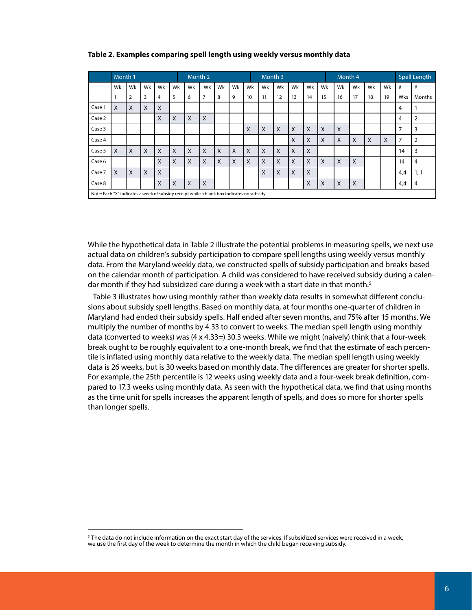|                                                                                            | Month 1 |                |    |    |                           | Month 2 |                |    |    |          | Month 3 |    |    |    |    | Month 4 |    |    |    | <b>Spell Length</b> |                |
|--------------------------------------------------------------------------------------------|---------|----------------|----|----|---------------------------|---------|----------------|----|----|----------|---------|----|----|----|----|---------|----|----|----|---------------------|----------------|
|                                                                                            | Wk      | Wk             | Wk | Wk | Wk                        | Wk      | Wk             | Wk | Wk | Wk       | Wk      | Wk | Wk | Wk | Wk | Wk      | Wk | Wk | Wk | #                   | #              |
|                                                                                            |         | $\overline{2}$ | 3  | 4  | 5                         | 6       | $\overline{7}$ | 8  | 9  | 10       | 11      | 12 | 13 | 14 | 15 | 16      | 17 | 18 | 19 | Wks                 | Months         |
| Case 1                                                                                     | X       | X              | X  | X  |                           |         |                |    |    |          |         |    |    |    |    |         |    |    |    | 4                   |                |
| Case 2                                                                                     |         |                |    | X  | $\times$                  | X       | X              |    |    |          |         |    |    |    |    |         |    |    |    | 4                   | $\overline{2}$ |
| Case 3                                                                                     |         |                |    |    |                           |         |                |    |    | X        | X       | X  | X  | X  | X  | X       |    |    |    | $\overline{ }$      | 3              |
| Case 4                                                                                     |         |                |    |    |                           |         |                |    |    |          |         |    | X  | X  | X  | X       | X  | X  | X  | 7                   | $\overline{2}$ |
| Case 5                                                                                     | X       | X              | X  | X  | $\boldsymbol{\mathsf{X}}$ | X       | X              | X  | X  | $\times$ | X       | X  | X  | X  |    |         |    |    |    | 14                  | 3              |
| Case 6                                                                                     |         |                |    | X  | X                         | X       | X              | X  | X  | X        | X       | X  | X  | X  | X  | X       | X  |    |    | 14                  | 4              |
| Case 7                                                                                     | X       | X              | X  | X  |                           |         |                |    |    |          | X       | X  | X  | X  |    |         |    |    |    | 4,4                 | 1, 1           |
| Case 8                                                                                     |         |                |    | X  | $\times$                  | X       | X              |    |    |          |         |    |    | X  | X  | X       | X  |    |    | 4,4                 | 4              |
| Note: Each "X" indicates a week of subsidy receipt while a blank box indicates no subsidy. |         |                |    |    |                           |         |                |    |    |          |         |    |    |    |    |         |    |    |    |                     |                |

#### **Table 2. Examples comparing spell length using weekly versus monthly data**

While the hypothetical data in Table 2 illustrate the potential problems in measuring spells, we next use actual data on children's subsidy participation to compare spell lengths using weekly versus monthly data. From the Maryland weekly data, we constructed spells of subsidy participation and breaks based on the calendar month of participation. A child was considered to have received subsidy during a calendar month if they had subsidized care during a week with a start date in that month.<sup>5</sup>

 Table 3 illustrates how using monthly rather than weekly data results in somewhat different conclusions about subsidy spell lengths. Based on monthly data, at four months one-quarter of children in Maryland had ended their subsidy spells. Half ended after seven months, and 75% after 15 months. We multiply the number of months by 4.33 to convert to weeks. The median spell length using monthly data (converted to weeks) was (4 x 4.33=) 30.3 weeks. While we might (naively) think that a four-week break ought to be roughly equivalent to a one-month break, we find that the estimate of each percentile is inflated using monthly data relative to the weekly data. The median spell length using weekly data is 26 weeks, but is 30 weeks based on monthly data. The differences are greater for shorter spells. For example, the 25th percentile is 12 weeks using weekly data and a four-week break definition, compared to 17.3 weeks using monthly data. As seen with the hypothetical data, we find that using months as the time unit for spells increases the apparent length of spells, and does so more for shorter spells than longer spells.

<sup>5</sup> The data do not include information on the exact start day of the services. If subsidized services were received in a week, we use the first day of the week to determine the month in which the child began receiving subsidy.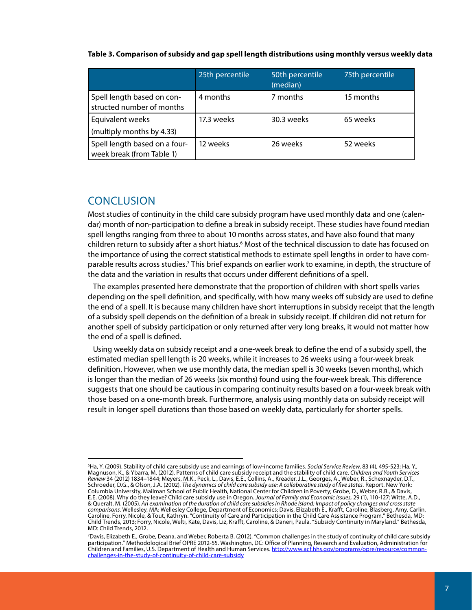|                                                            | 25th percentile | 50th percentile<br>(median) | 75th percentile |  |
|------------------------------------------------------------|-----------------|-----------------------------|-----------------|--|
| Spell length based on con-<br>structed number of months    | 4 months        | 7 months                    | 15 months       |  |
| Equivalent weeks                                           | 17.3 weeks      | 30.3 weeks                  | 65 weeks        |  |
| (multiply months by 4.33)                                  |                 |                             |                 |  |
| Spell length based on a four-<br>week break (from Table 1) | 12 weeks        | 26 weeks                    | 52 weeks        |  |

#### **Table 3. Comparison of subsidy and gap spell length distributions using monthly versus weekly data**

### **CONCLUSION**

Most studies of continuity in the child care subsidy program have used monthly data and one (calendar) month of non-participation to define a break in subsidy receipt. These studies have found median spell lengths ranging from three to about 10 months across states, and have also found that many children return to subsidy after a short hiatus.<sup>6</sup> Most of the technical discussion to date has focused on the importance of using the correct statistical methods to estimate spell lengths in order to have comparable results across studies.<sup>7</sup> This brief expands on earlier work to examine, in depth, the structure of the data and the variation in results that occurs under different definitions of a spell.

 The examples presented here demonstrate that the proportion of children with short spells varies depending on the spell definition, and specifically, with how many weeks off subsidy are used to define the end of a spell. It is because many children have short interruptions in subsidy receipt that the length of a subsidy spell depends on the definition of a break in subsidy receipt. If children did not return for another spell of subsidy participation or only returned after very long breaks, it would not matter how the end of a spell is defined.

 Using weekly data on subsidy receipt and a one-week break to define the end of a subsidy spell, the estimated median spell length is 20 weeks, while it increases to 26 weeks using a four-week break definition. However, when we use monthly data, the median spell is 30 weeks (seven months), which is longer than the median of 26 weeks (six months) found using the four-week break. This difference suggests that one should be cautious in comparing continuity results based on a four-week break with those based on a one-month break. Furthermore, analysis using monthly data on subsidy receipt will result in longer spell durations than those based on weekly data, particularly for shorter spells.

<sup>6</sup> Ha, Y. (2009). Stability of child care subsidy use and earnings of low-income families. *Social Service Review*, 83 (4), 495-523; Ha, Y., Magnuson, K., & Ybarra, M. (2012). Patterns of child care subsidy receipt and the stability of child care. *Children and Youth Services Review* 34 (2012) 1834–1844; Meyers, M.K., Peck, L., Davis, E.E., Collins, A., Kreader, J.L., Georges, A., Weber, R., Schexnayder, D.T., Schroeder, D.G., & Olson, J.A. (2002). *The dynamics of child care subsidy use: A collaborative study of five states.* Report. New York: Columbia University, Mailman School of Public Health, National Center for Children in Poverty; Grobe, D., Weber, R.B., & Davis, E.E. (2008). Why do they leave? Child care subsidy use in Oregon. *Journal of Family and Economic Issues,* 29 (1), 110-127; Witte, A.D., & Queralt, M. (2005). *An examination of the duration of child care subsidies in Rhode Island: Impact of policy changes and cross state comparisons.* Wellesley, MA: Wellesley College, Department of Economics; Davis, Elizabeth E., Krafft, Caroline, Blasberg, Amy, Carlin, Caroline, Forry, Nicole, & Tout, Kathryn. "Continuity of Care and Participation in the Child Care Assistance Program." Bethesda, MD: Child Trends, 2013; Forry, Nicole, Welti, Kate, Davis, Liz, Krafft, Caroline, & Daneri, Paula. "Subsidy Continuity in Maryland." Bethesda, MD: Child Trends, 2012.

<sup>7</sup> Davis, Elizabeth E., Grobe, Deana, and Weber, Roberta B. (2012). "Common challenges in the study of continuity of child care subsidy participation." Methodological Brief OPRE 2012-55. Washington, DC: Office of Planning, Research and Evaluation, Administration for Children and Families, U.S. Department of Health and Human Services. [http://www.acf.hhs.gov/programs/opre/resource/common](http://www.acf.hhs.gov/programs/opre/resource/common-challenges-in-the-study-of-continuity-of-child-care-subsidy)[challenges-in-the-study-of-continuity-of-child-care-subsidy](http://www.acf.hhs.gov/programs/opre/resource/common-challenges-in-the-study-of-continuity-of-child-care-subsidy)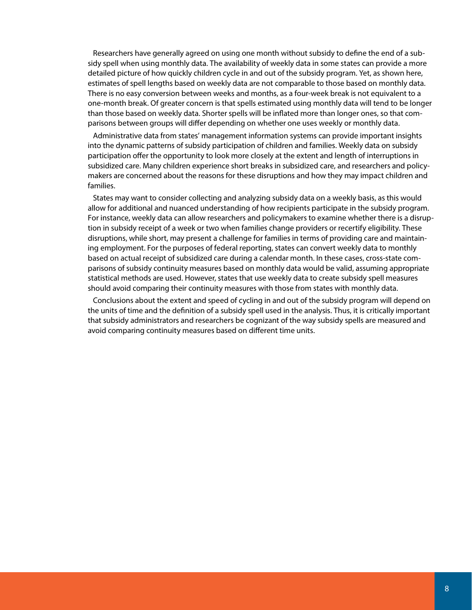Researchers have generally agreed on using one month without subsidy to define the end of a subsidy spell when using monthly data. The availability of weekly data in some states can provide a more detailed picture of how quickly children cycle in and out of the subsidy program. Yet, as shown here, estimates of spell lengths based on weekly data are not comparable to those based on monthly data. There is no easy conversion between weeks and months, as a four-week break is not equivalent to a one-month break. Of greater concern is that spells estimated using monthly data will tend to be longer than those based on weekly data. Shorter spells will be inflated more than longer ones, so that comparisons between groups will differ depending on whether one uses weekly or monthly data.

 Administrative data from states' management information systems can provide important insights into the dynamic patterns of subsidy participation of children and families. Weekly data on subsidy participation offer the opportunity to look more closely at the extent and length of interruptions in subsidized care. Many children experience short breaks in subsidized care, and researchers and policymakers are concerned about the reasons for these disruptions and how they may impact children and families.

 States may want to consider collecting and analyzing subsidy data on a weekly basis, as this would allow for additional and nuanced understanding of how recipients participate in the subsidy program. For instance, weekly data can allow researchers and policymakers to examine whether there is a disruption in subsidy receipt of a week or two when families change providers or recertify eligibility. These disruptions, while short, may present a challenge for families in terms of providing care and maintaining employment. For the purposes of federal reporting, states can convert weekly data to monthly based on actual receipt of subsidized care during a calendar month. In these cases, cross-state comparisons of subsidy continuity measures based on monthly data would be valid, assuming appropriate statistical methods are used. However, states that use weekly data to create subsidy spell measures should avoid comparing their continuity measures with those from states with monthly data.

 Conclusions about the extent and speed of cycling in and out of the subsidy program will depend on the units of time and the definition of a subsidy spell used in the analysis. Thus, it is critically important that subsidy administrators and researchers be cognizant of the way subsidy spells are measured and avoid comparing continuity measures based on different time units.